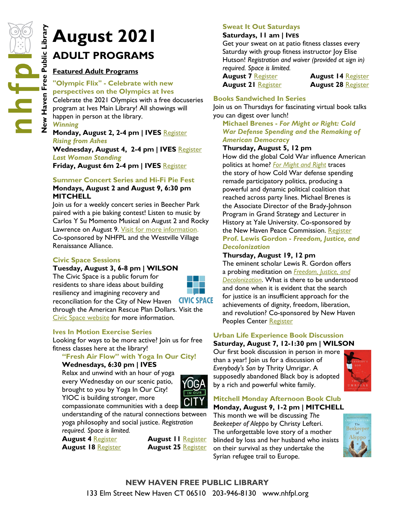# **August 2021**<br> **New Havenum ADULT PROGRAMS**<br> **Colympic Flix"** - Celebrate with<br> **Colympic Flix"** - Celebrate with<br> **Colympic Flix"** - Celebrate with<br> **Colympic Flix"** - Celebrate with<br> **Colebrate the 2021 Olympics and Inte ADULT PROGRAMS**

## **Featured Adult Programs**

#### **"Olympic Flix" - Celebrate with new perspectives on the Olympics at Ives**

Celebrate the 2021 Olympics with a free docuseries program at Ives Main Library! All showings will happen in person at the library. *Winning*

## **Monday, August 2, 2-4 pm | IVES** [Register](https://nhfpl.libnet.info/event/5306033) *Rising from Ashes*

**Wednesday, August 4, 2-4 pm | IVES** [Register](https://nhfpl.libnet.info/event/5306037) *Last Woman Standing* **Friday, August 6m 2-4 pm | IVES** [Register](https://nhfpl.libnet.info/event/5306048)

## **Summer Concert Series and Hi-Fi Pie Fest Mondays, August 2 and August 9, 6:30 pm MITCHELL**

Join us for a weekly concert series in Beecher Park paired with a pie baking contest! Listen to music by Carlos Y Su Momento Musical on August 2 and Rocky Lawrence on August 9. Visit for more information. Co-sponsored by NHFPL and the Westville Village Renaissance Alliance.

## **Civic Space Sessions**

**Tuesday, August 3, 6-8 pm | WILSON**

The Civic Space is a public forum for residents to share ideas about building resiliency and imagining recovery and reconciliation for the City of New Haven



**CIVIC SPACE** 

through the American Rescue Plan Dollars. Visit the [Civic Space website](https://www.civicspacenh.com/) for more information.

## **Ives In Motion Exercise Series**

Looking for ways to be more active? Join us for free fitness classes here at the library!

#### **"Fresh Air Flow" with Yoga In Our City! Wednesdays, 6:30 pm | IVES**

Relax and unwind with an hour of yoga every Wednesday on our scenic patio, brought to you by Yoga In Our City! YIOC is building stronger, more



compassionate communities with a deep understanding of the natural connections between yoga philosophy and social justice. *Registration required. Space is limited.*

**August 4** [Register](https://nhfpl.libnet.info/event/5379444) **August 11** [Register](https://nhfpl.libnet.info/event/5379445) **August 18** [Register](https://nhfpl.libnet.info/event/5379446) **August 25** [Register](https://nhfpl.libnet.info/event/5379447)

## **Sweat It Out Saturdays**

## **Saturdays, 11 am | IVES**

Get your sweat on at patio fitness classes every Saturday with group fitness instructor Joy Elise Hutson! *Registration and waiver (provided at sign in) required. Space is limited.*

**August 7** [Register](https://nhfpl.libnet.info/event/5374310) **August 14** [Register](https://nhfpl.libnet.info/event/5374311) **August 21** [Register](https://nhfpl.libnet.info/event/5374312) **August 28** [Register](https://nhfpl.libnet.info/event/5374313)

## **Books Sandwiched In Series**

Join us on Thursdays for fascinating virtual book talks you can digest over lunch!

**Michael Brenes -** *For Might or Right: Cold War Defense Spending and the Remaking of American Democracy*

## **Thursday, August 5, 12 pm**

How did the global Cold War influence American politics at home? *[For Might and Right](http://nhave-encore.iii.com/iii/encore/record/C__Rb1606991__Sfor%20might__Orightresult__U__X6;jsessionid=74C6C4E32B14EA9C888D76F4870009E2?lang=eng&suite=cobalt)* traces the story of how Cold War defense spending remade participatory politics, producing a powerful and dynamic political coalition that reached across party lines. Michael Brenes is the Associate Director of the Brady-Johnson Program in Grand Strategy and Lecturer in History at Yale University. Co-sponsored by the New Haven Peace Commission. [Register](https://nhfpl.libnet.info/event/5055529) **Prof. Lewis Gordon -** *Freedom, Justice, and Decolonization*

## **Thursday, August 19, 12 pm**

The eminent scholar Lewis R. Gordon offers a probing meditation on *[Freedom, Justice, and](http://nhave-encore.iii.com/iii/encore/record/C__Rb1611520__Sfreedom%2C%20justice%2C%20and%20__Orightresult__U__X6?lang=eng&suite=cobalt)  [Decolonization](http://nhave-encore.iii.com/iii/encore/record/C__Rb1611520__Sfreedom%2C%20justice%2C%20and%20__Orightresult__U__X6?lang=eng&suite=cobalt)*. What is there to be understood and done when it is evident that the search for justice is an insufficient approach for the achievements of dignity, freedom, liberation, and revolution? Co-sponsored by New Haven Peoples Center [Register](https://nhfpl.libnet.info/event/5071670)

#### **Urban Life Experience Book Discussion Saturday, August 7, 12-1:30 pm | WILSON**

Our first book discussion in person in more than a year! Join us for a discussion of *Everybody's Son* by Thrity Umrigar. A supposedly abandoned Black boy is adopted by a rich and powerful white family.



## **Mitchell Monday Afternoon Book Club Monday, August 9, 1-2 pm | MITCHELL**

This month we will be discussing *The Beekeeper of Aleppo* by Christy Lefteri. The unforgettable love story of a mother blinded by loss and her husband who insists on their survival as they undertake the Syrian refugee trail to Europe.